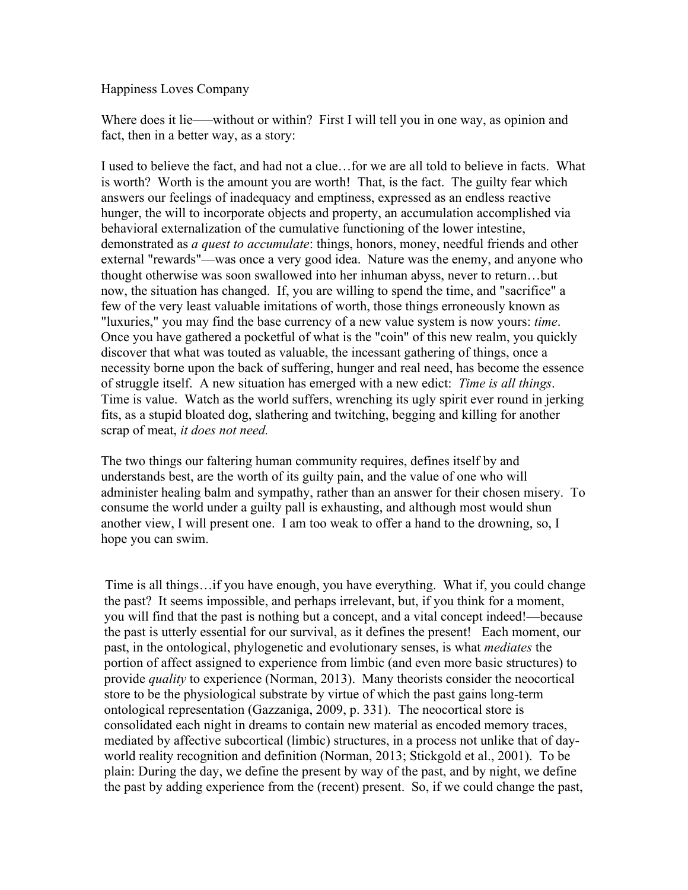Happiness Loves Company

Where does it lie——without or within? First I will tell you in one way, as opinion and fact, then in a better way, as a story:

I used to believe the fact, and had not a clue…for we are all told to believe in facts. What is worth? Worth is the amount you are worth! That, is the fact. The guilty fear which answers our feelings of inadequacy and emptiness, expressed as an endless reactive hunger, the will to incorporate objects and property, an accumulation accomplished via behavioral externalization of the cumulative functioning of the lower intestine, demonstrated as *a quest to accumulate*: things, honors, money, needful friends and other external "rewards"––was once a very good idea. Nature was the enemy, and anyone who thought otherwise was soon swallowed into her inhuman abyss, never to return…but now, the situation has changed. If, you are willing to spend the time, and "sacrifice" a few of the very least valuable imitations of worth, those things erroneously known as "luxuries," you may find the base currency of a new value system is now yours: *time*. Once you have gathered a pocketful of what is the "coin" of this new realm, you quickly discover that what was touted as valuable, the incessant gathering of things, once a necessity borne upon the back of suffering, hunger and real need, has become the essence of struggle itself. A new situation has emerged with a new edict: *Time is all things*. Time is value. Watch as the world suffers, wrenching its ugly spirit ever round in jerking fits, as a stupid bloated dog, slathering and twitching, begging and killing for another scrap of meat, *it does not need.*

The two things our faltering human community requires, defines itself by and understands best, are the worth of its guilty pain, and the value of one who will administer healing balm and sympathy, rather than an answer for their chosen misery. To consume the world under a guilty pall is exhausting, and although most would shun another view, I will present one. I am too weak to offer a hand to the drowning, so, I hope you can swim.

Time is all things…if you have enough, you have everything. What if, you could change the past? It seems impossible, and perhaps irrelevant, but, if you think for a moment, you will find that the past is nothing but a concept, and a vital concept indeed!––because the past is utterly essential for our survival, as it defines the present! Each moment, our past, in the ontological, phylogenetic and evolutionary senses, is what *mediates* the portion of affect assigned to experience from limbic (and even more basic structures) to provide *quality* to experience (Norman, 2013). Many theorists consider the neocortical store to be the physiological substrate by virtue of which the past gains long-term ontological representation (Gazzaniga, 2009, p. 331). The neocortical store is consolidated each night in dreams to contain new material as encoded memory traces, mediated by affective subcortical (limbic) structures, in a process not unlike that of dayworld reality recognition and definition (Norman, 2013; Stickgold et al., 2001). To be plain: During the day, we define the present by way of the past, and by night, we define the past by adding experience from the (recent) present. So, if we could change the past,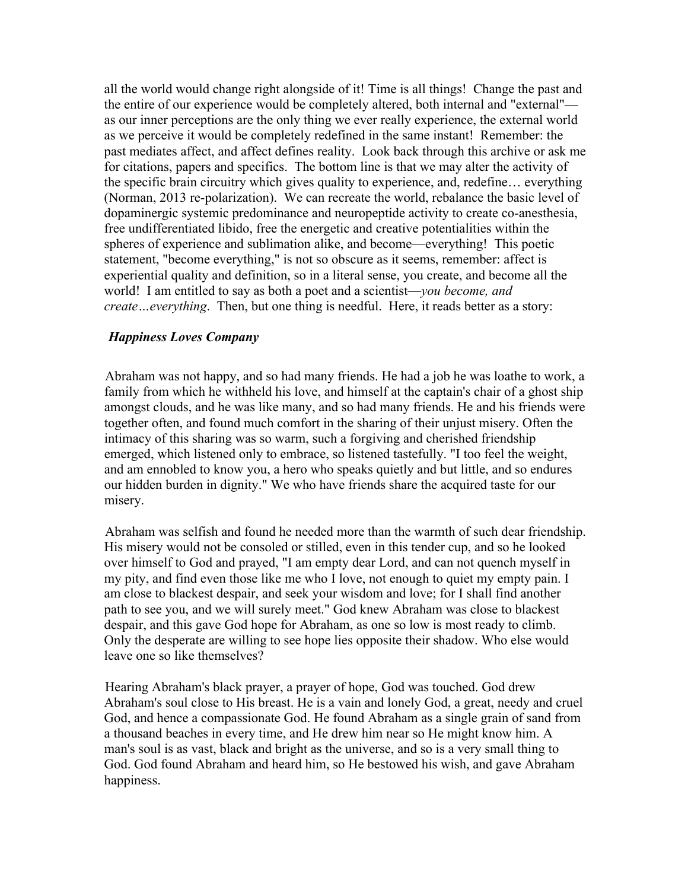all the world would change right alongside of it! Time is all things! Change the past and the entire of our experience would be completely altered, both internal and "external"–– as our inner perceptions are the only thing we ever really experience, the external world as we perceive it would be completely redefined in the same instant! Remember: the past mediates affect, and affect defines reality. Look back through this archive or ask me for citations, papers and specifics. The bottom line is that we may alter the activity of the specific brain circuitry which gives quality to experience, and, redefine… everything (Norman, 2013 re-polarization). We can recreate the world, rebalance the basic level of dopaminergic systemic predominance and neuropeptide activity to create co-anesthesia, free undifferentiated libido, free the energetic and creative potentialities within the spheres of experience and sublimation alike, and become––everything! This poetic statement, "become everything," is not so obscure as it seems, remember: affect is experiential quality and definition, so in a literal sense, you create, and become all the world! I am entitled to say as both a poet and a scientist––*you become, and create…everything*. Then, but one thing is needful. Here, it reads better as a story:

## *Happiness Loves Company*

Abraham was not happy, and so had many friends. He had a job he was loathe to work, a family from which he withheld his love, and himself at the captain's chair of a ghost ship amongst clouds, and he was like many, and so had many friends. He and his friends were together often, and found much comfort in the sharing of their unjust misery. Often the intimacy of this sharing was so warm, such a forgiving and cherished friendship emerged, which listened only to embrace, so listened tastefully. "I too feel the weight, and am ennobled to know you, a hero who speaks quietly and but little, and so endures our hidden burden in dignity." We who have friends share the acquired taste for our misery.

Abraham was selfish and found he needed more than the warmth of such dear friendship. His misery would not be consoled or stilled, even in this tender cup, and so he looked over himself to God and prayed, "I am empty dear Lord, and can not quench myself in my pity, and find even those like me who I love, not enough to quiet my empty pain. I am close to blackest despair, and seek your wisdom and love; for I shall find another path to see you, and we will surely meet." God knew Abraham was close to blackest despair, and this gave God hope for Abraham, as one so low is most ready to climb. Only the desperate are willing to see hope lies opposite their shadow. Who else would leave one so like themselves?

Hearing Abraham's black prayer, a prayer of hope, God was touched. God drew Abraham's soul close to His breast. He is a vain and lonely God, a great, needy and cruel God, and hence a compassionate God. He found Abraham as a single grain of sand from a thousand beaches in every time, and He drew him near so He might know him. A man's soul is as vast, black and bright as the universe, and so is a very small thing to God. God found Abraham and heard him, so He bestowed his wish, and gave Abraham happiness.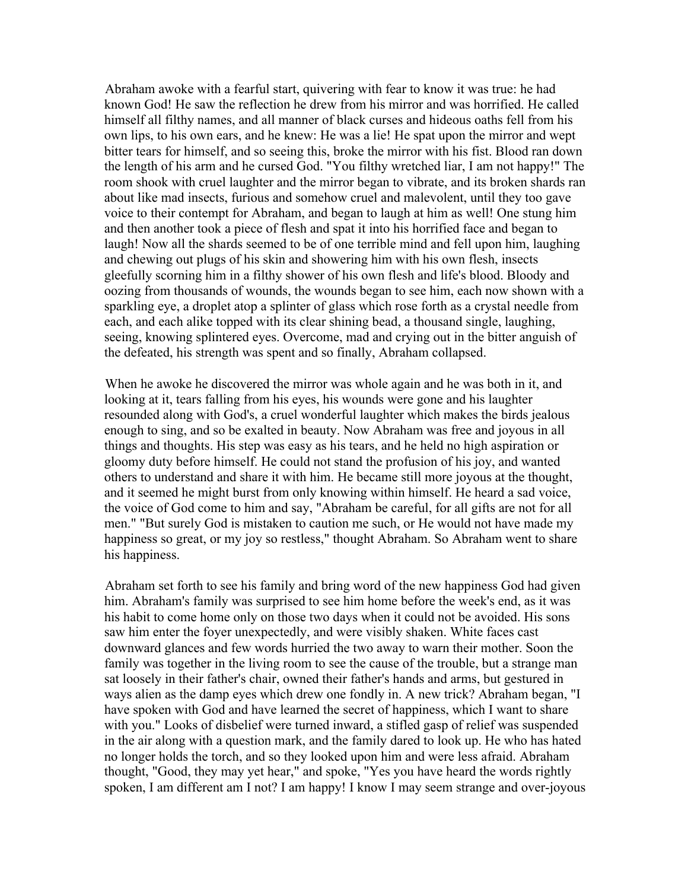Abraham awoke with a fearful start, quivering with fear to know it was true: he had known God! He saw the reflection he drew from his mirror and was horrified. He called himself all filthy names, and all manner of black curses and hideous oaths fell from his own lips, to his own ears, and he knew: He was a lie! He spat upon the mirror and wept bitter tears for himself, and so seeing this, broke the mirror with his fist. Blood ran down the length of his arm and he cursed God. "You filthy wretched liar, I am not happy!" The room shook with cruel laughter and the mirror began to vibrate, and its broken shards ran about like mad insects, furious and somehow cruel and malevolent, until they too gave voice to their contempt for Abraham, and began to laugh at him as well! One stung him and then another took a piece of flesh and spat it into his horrified face and began to laugh! Now all the shards seemed to be of one terrible mind and fell upon him, laughing and chewing out plugs of his skin and showering him with his own flesh, insects gleefully scorning him in a filthy shower of his own flesh and life's blood. Bloody and oozing from thousands of wounds, the wounds began to see him, each now shown with a sparkling eye, a droplet atop a splinter of glass which rose forth as a crystal needle from each, and each alike topped with its clear shining bead, a thousand single, laughing, seeing, knowing splintered eyes. Overcome, mad and crying out in the bitter anguish of the defeated, his strength was spent and so finally, Abraham collapsed.

When he awoke he discovered the mirror was whole again and he was both in it, and looking at it, tears falling from his eyes, his wounds were gone and his laughter resounded along with God's, a cruel wonderful laughter which makes the birds jealous enough to sing, and so be exalted in beauty. Now Abraham was free and joyous in all things and thoughts. His step was easy as his tears, and he held no high aspiration or gloomy duty before himself. He could not stand the profusion of his joy, and wanted others to understand and share it with him. He became still more joyous at the thought, and it seemed he might burst from only knowing within himself. He heard a sad voice, the voice of God come to him and say, "Abraham be careful, for all gifts are not for all men." "But surely God is mistaken to caution me such, or He would not have made my happiness so great, or my joy so restless," thought Abraham. So Abraham went to share his happiness.

Abraham set forth to see his family and bring word of the new happiness God had given him. Abraham's family was surprised to see him home before the week's end, as it was his habit to come home only on those two days when it could not be avoided. His sons saw him enter the foyer unexpectedly, and were visibly shaken. White faces cast downward glances and few words hurried the two away to warn their mother. Soon the family was together in the living room to see the cause of the trouble, but a strange man sat loosely in their father's chair, owned their father's hands and arms, but gestured in ways alien as the damp eyes which drew one fondly in. A new trick? Abraham began, "I have spoken with God and have learned the secret of happiness, which I want to share with you." Looks of disbelief were turned inward, a stifled gasp of relief was suspended in the air along with a question mark, and the family dared to look up. He who has hated no longer holds the torch, and so they looked upon him and were less afraid. Abraham thought, "Good, they may yet hear," and spoke, "Yes you have heard the words rightly spoken, I am different am I not? I am happy! I know I may seem strange and over-joyous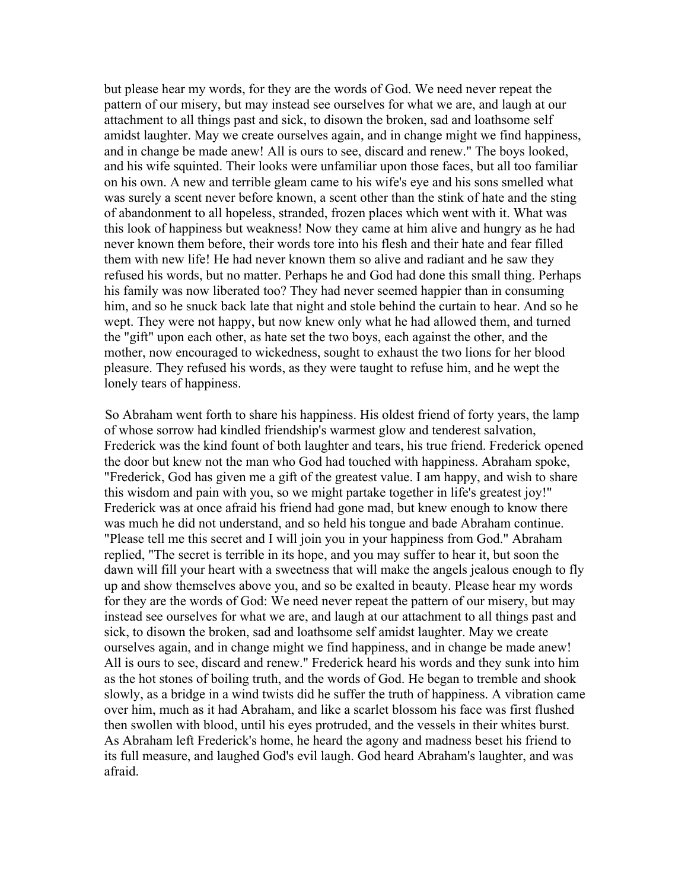but please hear my words, for they are the words of God. We need never repeat the pattern of our misery, but may instead see ourselves for what we are, and laugh at our attachment to all things past and sick, to disown the broken, sad and loathsome self amidst laughter. May we create ourselves again, and in change might we find happiness, and in change be made anew! All is ours to see, discard and renew." The boys looked, and his wife squinted. Their looks were unfamiliar upon those faces, but all too familiar on his own. A new and terrible gleam came to his wife's eye and his sons smelled what was surely a scent never before known, a scent other than the stink of hate and the sting of abandonment to all hopeless, stranded, frozen places which went with it. What was this look of happiness but weakness! Now they came at him alive and hungry as he had never known them before, their words tore into his flesh and their hate and fear filled them with new life! He had never known them so alive and radiant and he saw they refused his words, but no matter. Perhaps he and God had done this small thing. Perhaps his family was now liberated too? They had never seemed happier than in consuming him, and so he snuck back late that night and stole behind the curtain to hear. And so he wept. They were not happy, but now knew only what he had allowed them, and turned the "gift" upon each other, as hate set the two boys, each against the other, and the mother, now encouraged to wickedness, sought to exhaust the two lions for her blood pleasure. They refused his words, as they were taught to refuse him, and he wept the lonely tears of happiness.

So Abraham went forth to share his happiness. His oldest friend of forty years, the lamp of whose sorrow had kindled friendship's warmest glow and tenderest salvation, Frederick was the kind fount of both laughter and tears, his true friend. Frederick opened the door but knew not the man who God had touched with happiness. Abraham spoke, "Frederick, God has given me a gift of the greatest value. I am happy, and wish to share this wisdom and pain with you, so we might partake together in life's greatest joy!" Frederick was at once afraid his friend had gone mad, but knew enough to know there was much he did not understand, and so held his tongue and bade Abraham continue. "Please tell me this secret and I will join you in your happiness from God." Abraham replied, "The secret is terrible in its hope, and you may suffer to hear it, but soon the dawn will fill your heart with a sweetness that will make the angels jealous enough to fly up and show themselves above you, and so be exalted in beauty. Please hear my words for they are the words of God: We need never repeat the pattern of our misery, but may instead see ourselves for what we are, and laugh at our attachment to all things past and sick, to disown the broken, sad and loathsome self amidst laughter. May we create ourselves again, and in change might we find happiness, and in change be made anew! All is ours to see, discard and renew." Frederick heard his words and they sunk into him as the hot stones of boiling truth, and the words of God. He began to tremble and shook slowly, as a bridge in a wind twists did he suffer the truth of happiness. A vibration came over him, much as it had Abraham, and like a scarlet blossom his face was first flushed then swollen with blood, until his eyes protruded, and the vessels in their whites burst. As Abraham left Frederick's home, he heard the agony and madness beset his friend to its full measure, and laughed God's evil laugh. God heard Abraham's laughter, and was afraid.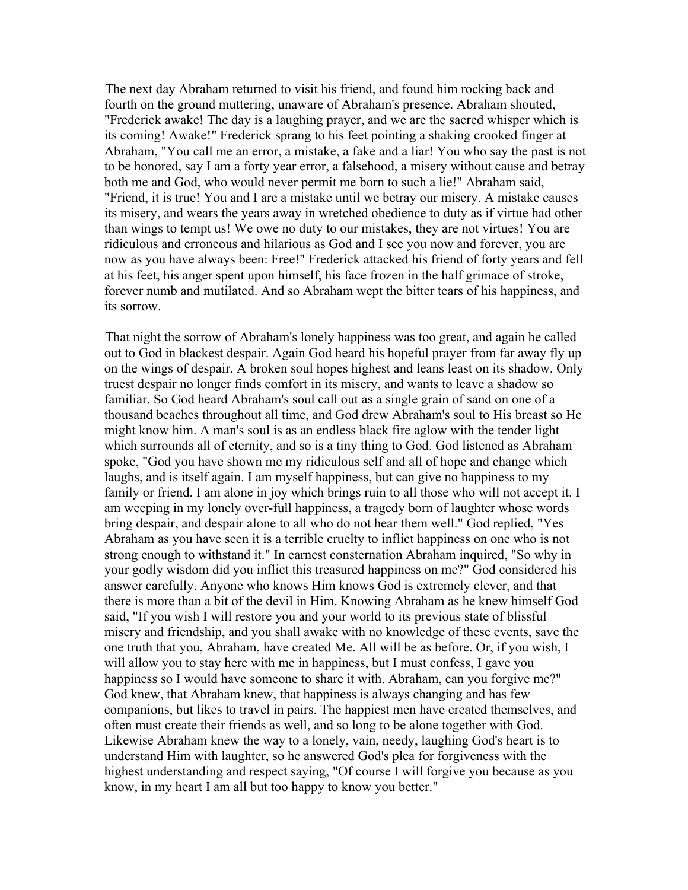The next day Abraham returned to visit his friend, and found him rocking back and fourth on the ground muttering, unaware of Abraham's presence. Abraham shouted, "Frederick awake! The day is a laughing prayer, and we are the sacred whisper which is its coming! Awake!" Frederick sprang to his feet pointing a shaking crooked finger at Abraham, "You call me an error, a mistake, a fake and a liar! You who say the past is not to be honored, say I am a forty year error, a falsehood, a misery without cause and betray both me and God, who would never permit me born to such a lie!" Abraham said, "Friend, it is true! You and I are a mistake until we betray our misery. A mistake causes its misery, and wears the years away in wretched obedience to duty as if virtue had other than wings to tempt us! We owe no duty to our mistakes, they are not virtues! You are ridiculous and erroneous and hilarious as God and I see you now and forever, you are now as you have always been: Free!" Frederick attacked his friend of forty years and fell at his feet, his anger spent upon himself, his face frozen in the half grimace of stroke, forever numb and mutilated. And so Abraham wept the bitter tears of his happiness, and its sorrow.

That night the sorrow of Abraham's lonely happiness was too great, and again he called out to God in blackest despair. Again God heard his hopeful prayer from far away fly up on the wings of despair. A broken soul hopes highest and leans least on its shadow. Only truest despair no longer finds comfort in its misery, and wants to leave a shadow so familiar. So God heard Abraham's soul call out as a single grain of sand on one of a thousand beaches throughout all time, and God drew Abraham's soul to His breast so He might know him. A man's soul is as an endless black fire aglow with the tender light which surrounds all of eternity, and so is a tiny thing to God. God listened as Abraham spoke, "God you have shown me my ridiculous self and all of hope and change which laughs, and is itself again. I am myself happiness, but can give no happiness to my family or friend. I am alone in joy which brings ruin to all those who will not accept it. I am weeping in my lonely over-full happiness, a tragedy born of laughter whose words bring despair, and despair alone to all who do not hear them well." God replied, "Yes Abraham as you have seen it is a terrible cruelty to inflict happiness on one who is not strong enough to withstand it." In earnest consternation Abraham inquired, "So why in your godly wisdom did you inflict this treasured happiness on me?" God considered his answer carefully. Anyone who knows Him knows God is extremely clever, and that there is more than a bit of the devil in Him. Knowing Abraham as he knew himself God said, "If you wish I will restore you and your world to its previous state of blissful misery and friendship, and you shall awake with no knowledge of these events, save the one truth that you, Abraham, have created Me. All will be as before. Or, if you wish, I will allow you to stay here with me in happiness, but I must confess, I gave you happiness so I would have someone to share it with. Abraham, can you forgive me?" God knew, that Abraham knew, that happiness is always changing and has few companions, but likes to travel in pairs. The happiest men have created themselves, and often must create their friends as well, and so long to be alone together with God. Likewise Abraham knew the way to a lonely, vain, needy, laughing God's heart is to understand Him with laughter, so he answered God's plea for forgiveness with the highest understanding and respect saying, "Of course I will forgive you because as you know, in my heart I am all but too happy to know you better."